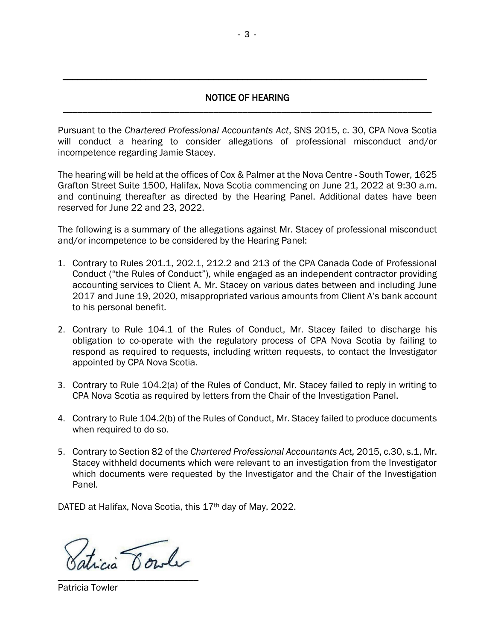## NOTICE OF HEARING \_\_\_\_\_\_\_\_\_\_\_\_\_\_\_\_\_\_\_\_\_\_\_\_\_\_\_\_\_\_\_\_\_\_\_\_\_\_\_\_\_\_\_\_\_\_\_\_\_\_\_\_\_\_\_\_\_\_\_\_\_\_\_\_\_\_\_\_\_\_\_\_\_\_\_\_

\_\_\_\_\_\_\_\_\_\_\_\_\_\_\_\_\_\_\_\_\_\_\_\_\_\_\_\_\_\_\_\_\_\_\_\_\_\_\_\_\_\_\_\_\_\_\_\_\_\_\_\_\_\_\_\_\_\_\_\_\_\_\_\_\_\_\_\_\_\_\_\_\_\_\_

Pursuant to the *Chartered Professional Accountants Act*, SNS 2015, c. 30, CPA Nova Scotia will conduct a hearing to consider allegations of professional misconduct and/or incompetence regarding Jamie Stacey.

The hearing will be held at the offices of Cox & Palmer at the Nova Centre - South Tower, 1625 Grafton Street Suite 1500, Halifax, Nova Scotia commencing on June 21, 2022 at 9:30 a.m. and continuing thereafter as directed by the Hearing Panel. Additional dates have been reserved for June 22 and 23, 2022.

The following is a summary of the allegations against Mr. Stacey of professional misconduct and/or incompetence to be considered by the Hearing Panel:

- 1. Contrary to Rules 201.1, 202.1, 212.2 and 213 of the CPA Canada Code of Professional Conduct ("the Rules of Conduct"), while engaged as an independent contractor providing accounting services to Client A, Mr. Stacey on various dates between and including June 2017 and June 19, 2020, misappropriated various amounts from Client A's bank account to his personal benefit.
- 2. Contrary to Rule 104.1 of the Rules of Conduct, Mr. Stacey failed to discharge his obligation to co-operate with the regulatory process of CPA Nova Scotia by failing to respond as required to requests, including written requests, to contact the Investigator appointed by CPA Nova Scotia.
- 3. Contrary to Rule 104.2(a) of the Rules of Conduct, Mr. Stacey failed to reply in writing to CPA Nova Scotia as required by letters from the Chair of the Investigation Panel.
- 4. Contrary to Rule 104.2(b) of the Rules of Conduct, Mr. Stacey failed to produce documents when required to do so.
- 5. Contrary to Section 82 of the *Chartered Professional Accountants Act,* 2015, c.30, s.1, Mr. Stacey withheld documents which were relevant to an investigation from the Investigator which documents were requested by the Investigator and the Chair of the Investigation Panel.

DATED at Halifax, Nova Scotia, this 17<sup>th</sup> day of May, 2022.

ticia Cowle \_\_\_\_\_\_\_\_\_\_\_\_\_\_\_\_\_\_\_\_\_\_\_\_\_\_\_\_\_

Patricia Towler